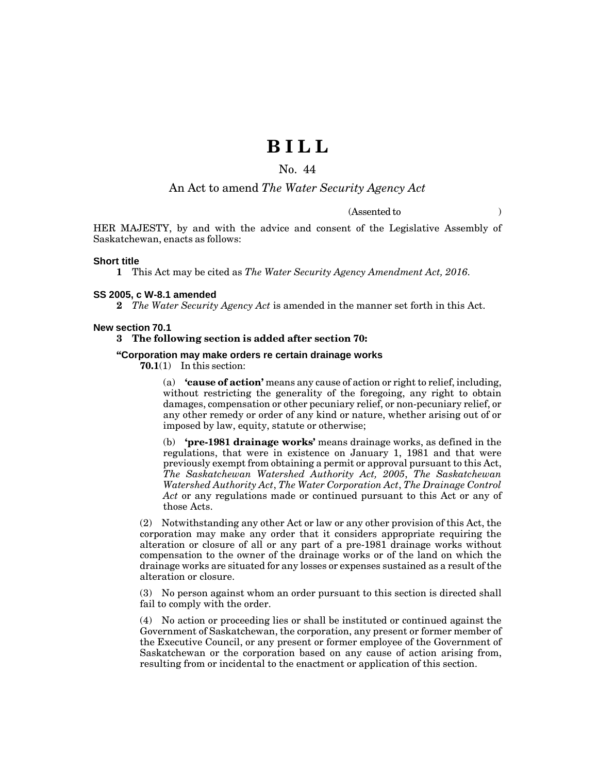# **B I L L**

# No. 44

# An Act to amend *The Water Security Agency Act*

(Assented to )

HER MAJESTY, by and with the advice and consent of the Legislative Assembly of Saskatchewan, enacts as follows:

#### **Short title**

**1** This Act may be cited as *The Water Security Agency Amendment Act, 2016*.

#### **SS 2005, c W-8.1 amended**

**2** *The Water Security Agency Act* is amended in the manner set forth in this Act.

#### **New section 70.1**

# **3 The following section is added after section 70:**

# **"Corporation may make orders re certain drainage works**

**70.1**(1) In this section:

(a) **'cause of action'** means any cause of action or right to relief, including, without restricting the generality of the foregoing, any right to obtain damages, compensation or other pecuniary relief, or non-pecuniary relief, or any other remedy or order of any kind or nature, whether arising out of or imposed by law, equity, statute or otherwise;

(b) **'pre-1981 drainage works'** means drainage works, as defined in the regulations, that were in existence on January 1, 1981 and that were previously exempt from obtaining a permit or approval pursuant to this Act, *The Saskatchewan Watershed Authority Act, 2005*, *The Saskatchewan Watershed Authority Act*, *The Water Corporation Act*, *The Drainage Control Act* or any regulations made or continued pursuant to this Act or any of those Acts.

(2) Notwithstanding any other Act or law or any other provision of this Act, the corporation may make any order that it considers appropriate requiring the alteration or closure of all or any part of a pre-1981 drainage works without compensation to the owner of the drainage works or of the land on which the drainage works are situated for any losses or expenses sustained as a result of the alteration or closure.

(3) No person against whom an order pursuant to this section is directed shall fail to comply with the order.

(4) No action or proceeding lies or shall be instituted or continued against the Government of Saskatchewan, the corporation, any present or former member of the Executive Council, or any present or former employee of the Government of Saskatchewan or the corporation based on any cause of action arising from, resulting from or incidental to the enactment or application of this section.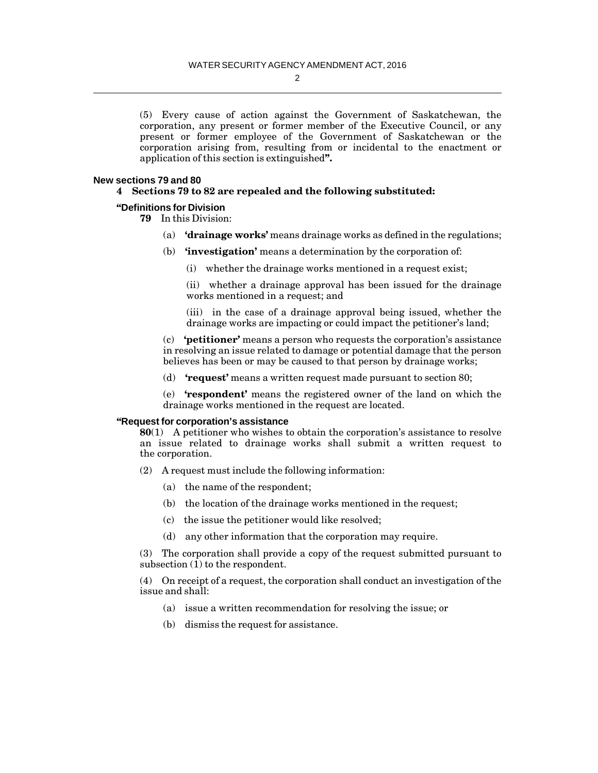2

(5) Every cause of action against the Government of Saskatchewan, the corporation, any present or former member of the Executive Council, or any present or former employee of the Government of Saskatchewan or the corporation arising from, resulting from or incidental to the enactment or application of this section is extinguished**".**

#### **New sections 79 and 80**

# **4 Sections 79 to 82 are repealed and the following substituted:**

# **"Definitions for Division**

**79** In this Division:

- (a) **'drainage works'** means drainage works as defined in the regulations;
- (b) **'investigation'** means a determination by the corporation of:
	- (i) whether the drainage works mentioned in a request exist;

(ii) whether a drainage approval has been issued for the drainage works mentioned in a request; and

(iii) in the case of a drainage approval being issued, whether the drainage works are impacting or could impact the petitioner's land;

(c) **'petitioner'** means a person who requests the corporation's assistance in resolving an issue related to damage or potential damage that the person believes has been or may be caused to that person by drainage works;

(d) **'request'** means a written request made pursuant to section 80;

(e) **'respondent'** means the registered owner of the land on which the drainage works mentioned in the request are located.

#### **"Request for corporation's assistance**

**80**(1) A petitioner who wishes to obtain the corporation's assistance to resolve an issue related to drainage works shall submit a written request to the corporation.

- (2) A request must include the following information:
	- (a) the name of the respondent;
	- (b) the location of the drainage works mentioned in the request;
	- (c) the issue the petitioner would like resolved;
	- (d) any other information that the corporation may require.

(3) The corporation shall provide a copy of the request submitted pursuant to subsection  $\overline{1}$  to the respondent.

(4) On receipt of a request, the corporation shall conduct an investigation of the issue and shall:

- (a) issue a written recommendation for resolving the issue; or
- (b) dismiss the request for assistance.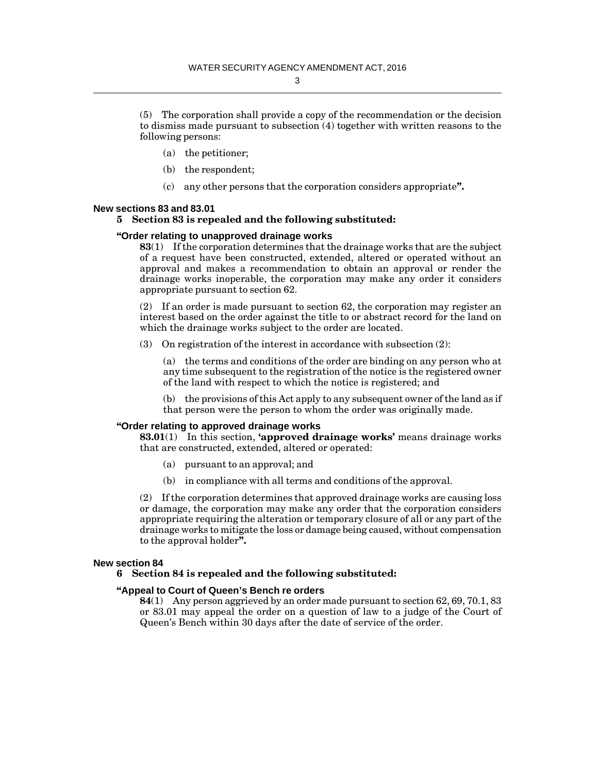(5) The corporation shall provide a copy of the recommendation or the decision to dismiss made pursuant to subsection (4) together with written reasons to the following persons:

- (a) the petitioner;
- (b) the respondent;
- (c) any other persons that the corporation considers appropriate**".**

#### **New sections 83 and 83.01**

# **5 Section 83 is repealed and the following substituted:**

#### **"Order relating to unapproved drainage works**

**83**(1) If the corporation determines that the drainage works that are the subject of a request have been constructed, extended, altered or operated without an approval and makes a recommendation to obtain an approval or render the drainage works inoperable, the corporation may make any order it considers appropriate pursuant to section 62.

(2) If an order is made pursuant to section 62, the corporation may register an interest based on the order against the title to or abstract record for the land on which the drainage works subject to the order are located.

(3) On registration of the interest in accordance with subsection (2):

(a) the terms and conditions of the order are binding on any person who at any time subsequent to the registration of the notice is the registered owner of the land with respect to which the notice is registered; and

(b) the provisions of this Act apply to any subsequent owner of the land as if that person were the person to whom the order was originally made.

# **"Order relating to approved drainage works**

**83.01**(1) In this section, **'approved drainage works'** means drainage works that are constructed, extended, altered or operated:

- (a) pursuant to an approval; and
- (b) in compliance with all terms and conditions of the approval.

(2) If the corporation determines that approved drainage works are causing loss or damage, the corporation may make any order that the corporation considers appropriate requiring the alteration or temporary closure of all or any part of the drainage works to mitigate the loss or damage being caused, without compensation to the approval holder**".**

#### **New section 84**

## **6 Section 84 is repealed and the following substituted:**

#### **"Appeal to Court of Queen's Bench re orders**

**84**(1) Any person aggrieved by an order made pursuant to section 62, 69, 70.1, 83 or 83.01 may appeal the order on a question of law to a judge of the Court of Queen's Bench within 30 days after the date of service of the order.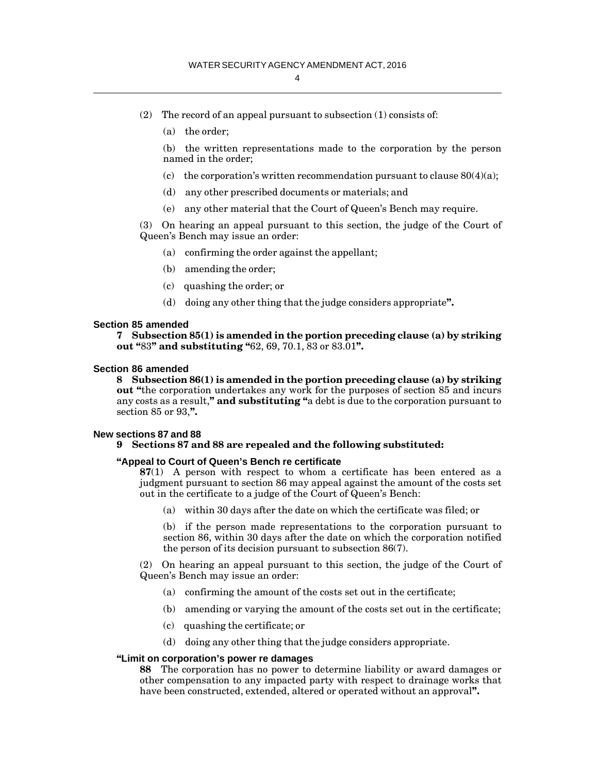- (2) The record of an appeal pursuant to subsection  $(1)$  consists of:
	- (a) the order;

(b) the written representations made to the corporation by the person named in the order;

- (c) the corporation's written recommendation pursuant to clause  $80(4)(a)$ ;
- (d) any other prescribed documents or materials; and
- (e) any other material that the Court of Queen's Bench may require.

(3) On hearing an appeal pursuant to this section, the judge of the Court of Queen's Bench may issue an order:

- (a) confirming the order against the appellant;
- (b) amending the order;
- (c) quashing the order; or
- (d) doing any other thing that the judge considers appropriate**".**

#### **Section 85 amended**

**7 Subsection 85(1) is amended in the portion preceding clause (a) by striking out "**83**" and substituting "**62, 69, 70.1, 83 or 83.01**".**

#### **Section 86 amended**

**8 Subsection 86(1) is amended in the portion preceding clause (a) by striking out "**the corporation undertakes any work for the purposes of section 85 and incurs any costs as a result,**" and substituting "**a debt is due to the corporation pursuant to section 85 or 93,**".**

#### **New sections 87 and 88**

# **9 Sections 87 and 88 are repealed and the following substituted:**

### **"Appeal to Court of Queen's Bench re certificate**

**87**(1) A person with respect to whom a certificate has been entered as a judgment pursuant to section 86 may appeal against the amount of the costs set out in the certificate to a judge of the Court of Queen's Bench:

(a) within 30 days after the date on which the certificate was filed; or

(b) if the person made representations to the corporation pursuant to section 86, within 30 days after the date on which the corporation notified the person of its decision pursuant to subsection 86(7).

(2) On hearing an appeal pursuant to this section, the judge of the Court of Queen's Bench may issue an order:

- (a) confirming the amount of the costs set out in the certificate;
- (b) amending or varying the amount of the costs set out in the certificate;
- (c) quashing the certificate; or
- (d) doing any other thing that the judge considers appropriate.

## **"Limit on corporation's power re damages**

**88** The corporation has no power to determine liability or award damages or other compensation to any impacted party with respect to drainage works that have been constructed, extended, altered or operated without an approval**".**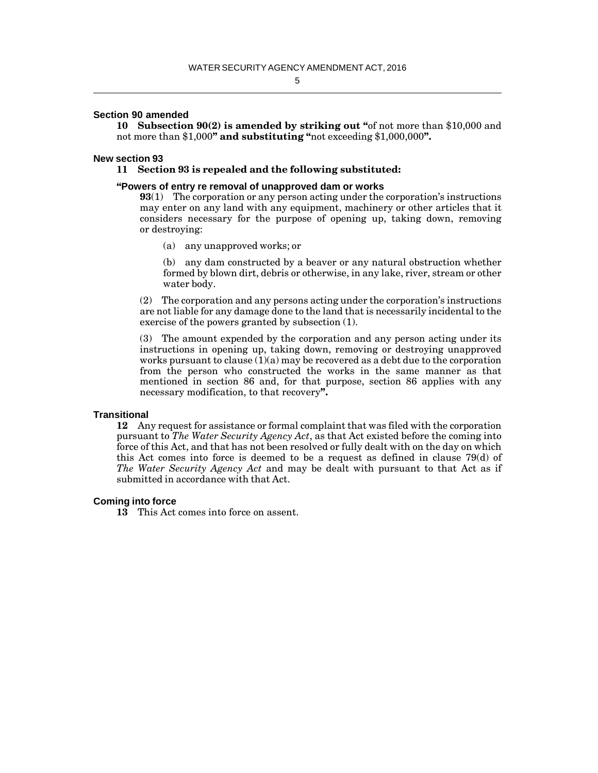# 5

## **Section 90 amended**

**10 Subsection 90(2) is amended by striking out "**of not more than \$10,000 and not more than \$1,000**" and substituting "**not exceeding \$1,000,000**".**

#### **New section 93**

#### **11 Section 93 is repealed and the following substituted:**

#### **"Powers of entry re removal of unapproved dam or works**

**93**(1) The corporation or any person acting under the corporation's instructions may enter on any land with any equipment, machinery or other articles that it considers necessary for the purpose of opening up, taking down, removing or destroying:

(a) any unapproved works; or

(b) any dam constructed by a beaver or any natural obstruction whether formed by blown dirt, debris or otherwise, in any lake, river, stream or other water body.

(2) The corporation and any persons acting under the corporation's instructions are not liable for any damage done to the land that is necessarily incidental to the exercise of the powers granted by subsection (1).

(3) The amount expended by the corporation and any person acting under its instructions in opening up, taking down, removing or destroying unapproved works pursuant to clause  $(1)(a)$  may be recovered as a debt due to the corporation from the person who constructed the works in the same manner as that mentioned in section 86 and, for that purpose, section 86 applies with any necessary modification, to that recovery**".**

#### **Transitional**

**12** Any request for assistance or formal complaint that was filed with the corporation pursuant to *The Water Security Agency Act*, as that Act existed before the coming into force of this Act, and that has not been resolved or fully dealt with on the day on which this Act comes into force is deemed to be a request as defined in clause 79(d) of *The Water Security Agency Act* and may be dealt with pursuant to that Act as if submitted in accordance with that Act.

#### **Coming into force**

**13** This Act comes into force on assent.